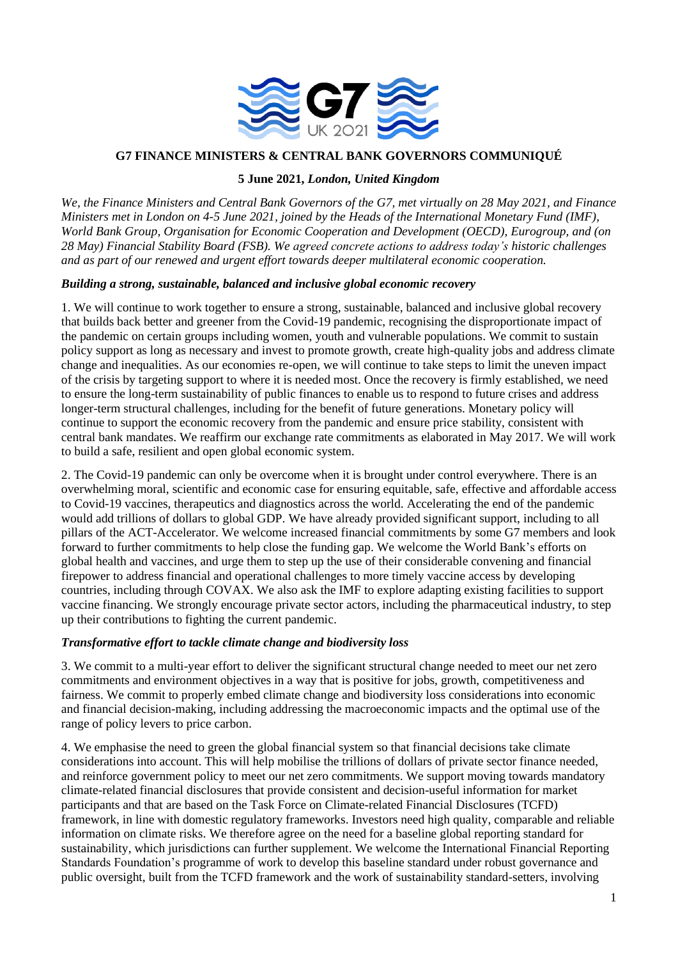

# **G7 FINANCE MINISTERS & CENTRAL BANK GOVERNORS COMMUNIQUÉ**

### **5 June 2021,** *London, United Kingdom*

*We, the Finance Ministers and Central Bank Governors of the G7, met virtually on 28 May 2021, and Finance Ministers met in London on 4-5 June 2021, joined by the Heads of the International Monetary Fund (IMF), World Bank Group, Organisation for Economic Cooperation and Development (OECD), Eurogroup, and (on 28 May) Financial Stability Board (FSB). We agreed concrete actions to address today's historic challenges and as part of our renewed and urgent effort towards deeper multilateral economic cooperation.* 

### *Building a strong, sustainable, balanced and inclusive global economic recovery*

1. We will continue to work together to ensure a strong, sustainable, balanced and inclusive global recovery that builds back better and greener from the Covid-19 pandemic, recognising the disproportionate impact of the pandemic on certain groups including women, youth and vulnerable populations. We commit to sustain policy support as long as necessary and invest to promote growth, create high-quality jobs and address climate change and inequalities. As our economies re-open, we will continue to take steps to limit the uneven impact of the crisis by targeting support to where it is needed most. Once the recovery is firmly established, we need to ensure the long-term sustainability of public finances to enable us to respond to future crises and address longer-term structural challenges, including for the benefit of future generations. Monetary policy will continue to support the economic recovery from the pandemic and ensure price stability, consistent with central bank mandates. We reaffirm our exchange rate commitments as elaborated in May 2017. We will work to build a safe, resilient and open global economic system.

2. The Covid-19 pandemic can only be overcome when it is brought under control everywhere. There is an overwhelming moral, scientific and economic case for ensuring equitable, safe, effective and affordable access to Covid-19 vaccines, therapeutics and diagnostics across the world. Accelerating the end of the pandemic would add trillions of dollars to global GDP. We have already provided significant support, including to all pillars of the ACT-Accelerator. We welcome increased financial commitments by some G7 members and look forward to further commitments to help close the funding gap. We welcome the World Bank's efforts on global health and vaccines, and urge them to step up the use of their considerable convening and financial firepower to address financial and operational challenges to more timely vaccine access by developing countries, including through COVAX. We also ask the IMF to explore adapting existing facilities to support vaccine financing. We strongly encourage private sector actors, including the pharmaceutical industry, to step up their contributions to fighting the current pandemic.

#### *Transformative effort to tackle climate change and biodiversity loss*

3. We commit to a multi-year effort to deliver the significant structural change needed to meet our net zero commitments and environment objectives in a way that is positive for jobs, growth, competitiveness and fairness. We commit to properly embed climate change and biodiversity loss considerations into economic and financial decision-making, including addressing the macroeconomic impacts and the optimal use of the range of policy levers to price carbon.

4. We emphasise the need to green the global financial system so that financial decisions take climate considerations into account. This will help mobilise the trillions of dollars of private sector finance needed, and reinforce government policy to meet our net zero commitments. We support moving towards mandatory climate-related financial disclosures that provide consistent and decision-useful information for market participants and that are based on the Task Force on Climate-related Financial Disclosures (TCFD) framework, in line with domestic regulatory frameworks. Investors need high quality, comparable and reliable information on climate risks. We therefore agree on the need for a baseline global reporting standard for sustainability, which jurisdictions can further supplement. We welcome the International Financial Reporting Standards Foundation's programme of work to develop this baseline standard under robust governance and public oversight, built from the TCFD framework and the work of sustainability standard-setters, involving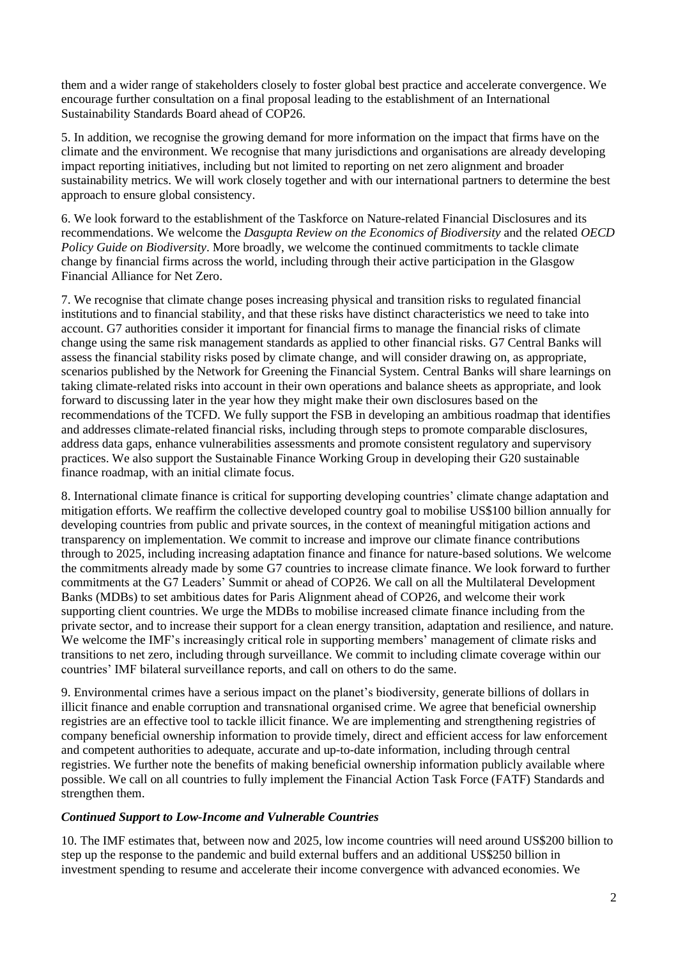them and a wider range of stakeholders closely to foster global best practice and accelerate convergence. We encourage further consultation on a final proposal leading to the establishment of an International Sustainability Standards Board ahead of COP26.

5. In addition, we recognise the growing demand for more information on the impact that firms have on the climate and the environment. We recognise that many jurisdictions and organisations are already developing impact reporting initiatives, including but not limited to reporting on net zero alignment and broader sustainability metrics. We will work closely together and with our international partners to determine the best approach to ensure global consistency.

6. We look forward to the establishment of the Taskforce on Nature-related Financial Disclosures and its recommendations. We welcome the *Dasgupta Review on the Economics of Biodiversity* and the related *OECD Policy Guide on Biodiversity*. More broadly, we welcome the continued commitments to tackle climate change by financial firms across the world, including through their active participation in the Glasgow Financial Alliance for Net Zero.

7. We recognise that climate change poses increasing physical and transition risks to regulated financial institutions and to financial stability, and that these risks have distinct characteristics we need to take into account. G7 authorities consider it important for financial firms to manage the financial risks of climate change using the same risk management standards as applied to other financial risks. G7 Central Banks will assess the financial stability risks posed by climate change, and will consider drawing on, as appropriate, scenarios published by the Network for Greening the Financial System. Central Banks will share learnings on taking climate-related risks into account in their own operations and balance sheets as appropriate, and look forward to discussing later in the year how they might make their own disclosures based on the recommendations of the TCFD. We fully support the FSB in developing an ambitious roadmap that identifies and addresses climate-related financial risks, including through steps to promote comparable disclosures, address data gaps, enhance vulnerabilities assessments and promote consistent regulatory and supervisory practices. We also support the Sustainable Finance Working Group in developing their G20 sustainable finance roadmap, with an initial climate focus.

8. International climate finance is critical for supporting developing countries' climate change adaptation and mitigation efforts. We reaffirm the collective developed country goal to mobilise US\$100 billion annually for developing countries from public and private sources, in the context of meaningful mitigation actions and transparency on implementation. We commit to increase and improve our climate finance contributions through to 2025, including increasing adaptation finance and finance for nature-based solutions. We welcome the commitments already made by some G7 countries to increase climate finance. We look forward to further commitments at the G7 Leaders' Summit or ahead of COP26. We call on all the Multilateral Development Banks (MDBs) to set ambitious dates for Paris Alignment ahead of COP26, and welcome their work supporting client countries. We urge the MDBs to mobilise increased climate finance including from the private sector, and to increase their support for a clean energy transition, adaptation and resilience, and nature. We welcome the IMF's increasingly critical role in supporting members' management of climate risks and transitions to net zero, including through surveillance. We commit to including climate coverage within our countries' IMF bilateral surveillance reports, and call on others to do the same.

9. Environmental crimes have a serious impact on the planet's biodiversity, generate billions of dollars in illicit finance and enable corruption and transnational organised crime. We agree that beneficial ownership registries are an effective tool to tackle illicit finance. We are implementing and strengthening registries of company beneficial ownership information to provide timely, direct and efficient access for law enforcement and competent authorities to adequate, accurate and up-to-date information, including through central registries. We further note the benefits of making beneficial ownership information publicly available where possible. We call on all countries to fully implement the Financial Action Task Force (FATF) Standards and strengthen them.

## *Continued Support to Low-Income and Vulnerable Countries*

10. The IMF estimates that, between now and 2025, low income countries will need around US\$200 billion to step up the response to the pandemic and build external buffers and an additional US\$250 billion in investment spending to resume and accelerate their income convergence with advanced economies. We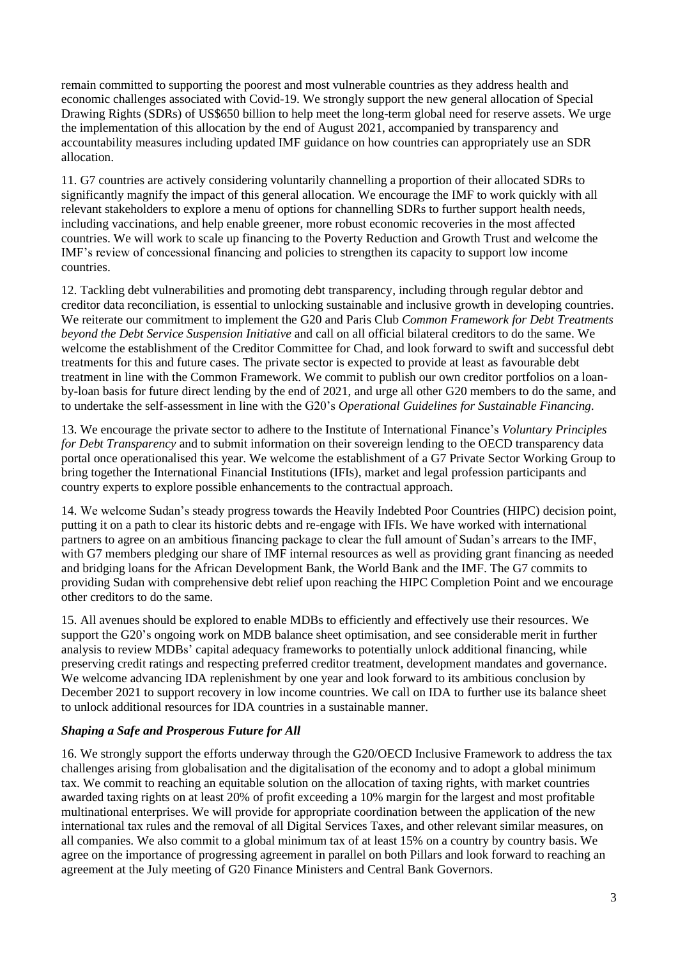remain committed to supporting the poorest and most vulnerable countries as they address health and economic challenges associated with Covid-19. We strongly support the new general allocation of Special Drawing Rights (SDRs) of US\$650 billion to help meet the long-term global need for reserve assets. We urge the implementation of this allocation by the end of August 2021, accompanied by transparency and accountability measures including updated IMF guidance on how countries can appropriately use an SDR allocation.

11. G7 countries are actively considering voluntarily channelling a proportion of their allocated SDRs to significantly magnify the impact of this general allocation. We encourage the IMF to work quickly with all relevant stakeholders to explore a menu of options for channelling SDRs to further support health needs, including vaccinations, and help enable greener, more robust economic recoveries in the most affected countries. We will work to scale up financing to the Poverty Reduction and Growth Trust and welcome the IMF's review of concessional financing and policies to strengthen its capacity to support low income countries.

12. Tackling debt vulnerabilities and promoting debt transparency, including through regular debtor and creditor data reconciliation, is essential to unlocking sustainable and inclusive growth in developing countries. We reiterate our commitment to implement the G20 and Paris Club *Common Framework for Debt Treatments beyond the Debt Service Suspension Initiative* and call on all official bilateral creditors to do the same. We welcome the establishment of the Creditor Committee for Chad, and look forward to swift and successful debt treatments for this and future cases. The private sector is expected to provide at least as favourable debt treatment in line with the Common Framework. We commit to publish our own creditor portfolios on a loanby-loan basis for future direct lending by the end of 2021, and urge all other G20 members to do the same, and to undertake the self-assessment in line with the G20's *Operational Guidelines for Sustainable Financing.* 

13. We encourage the private sector to adhere to the Institute of International Finance's *Voluntary Principles for Debt Transparency* and to submit information on their sovereign lending to the OECD transparency data portal once operationalised this year. We welcome the establishment of a G7 Private Sector Working Group to bring together the International Financial Institutions (IFIs), market and legal profession participants and country experts to explore possible enhancements to the contractual approach.

14. We welcome Sudan's steady progress towards the Heavily Indebted Poor Countries (HIPC) decision point, putting it on a path to clear its historic debts and re-engage with IFIs. We have worked with international partners to agree on an ambitious financing package to clear the full amount of Sudan's arrears to the IMF, with G7 members pledging our share of IMF internal resources as well as providing grant financing as needed and bridging loans for the African Development Bank, the World Bank and the IMF. The G7 commits to providing Sudan with comprehensive debt relief upon reaching the HIPC Completion Point and we encourage other creditors to do the same.

15. All avenues should be explored to enable MDBs to efficiently and effectively use their resources. We support the G20's ongoing work on MDB balance sheet optimisation, and see considerable merit in further analysis to review MDBs' capital adequacy frameworks to potentially unlock additional financing, while preserving credit ratings and respecting preferred creditor treatment, development mandates and governance. We welcome advancing IDA replenishment by one year and look forward to its ambitious conclusion by December 2021 to support recovery in low income countries. We call on IDA to further use its balance sheet to unlock additional resources for IDA countries in a sustainable manner.

# *Shaping a Safe and Prosperous Future for All*

16. We strongly support the efforts underway through the G20/OECD Inclusive Framework to address the tax challenges arising from globalisation and the digitalisation of the economy and to adopt a global minimum tax. We commit to reaching an equitable solution on the allocation of taxing rights, with market countries awarded taxing rights on at least 20% of profit exceeding a 10% margin for the largest and most profitable multinational enterprises. We will provide for appropriate coordination between the application of the new international tax rules and the removal of all Digital Services Taxes, and other relevant similar measures, on all companies. We also commit to a global minimum tax of at least 15% on a country by country basis. We agree on the importance of progressing agreement in parallel on both Pillars and look forward to reaching an agreement at the July meeting of G20 Finance Ministers and Central Bank Governors.